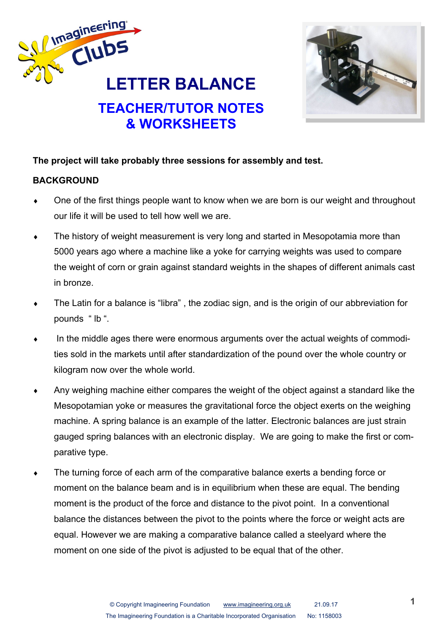



# **The project will take probably three sessions for assembly and test.**

# **BACKGROUND**

- One of the first things people want to know when we are born is our weight and throughout our life it will be used to tell how well we are.
- The history of weight measurement is very long and started in Mesopotamia more than 5000 years ago where a machine like a yoke for carrying weights was used to compare the weight of corn or grain against standard weights in the shapes of different animals cast in bronze.
- The Latin for a balance is "libra" , the zodiac sign, and is the origin of our abbreviation for pounds " lb ".
- In the middle ages there were enormous arguments over the actual weights of commodities sold in the markets until after standardization of the pound over the whole country or kilogram now over the whole world.
- Any weighing machine either compares the weight of the object against a standard like the Mesopotamian yoke or measures the gravitational force the object exerts on the weighing machine. A spring balance is an example of the latter. Electronic balances are just strain gauged spring balances with an electronic display. We are going to make the first or comparative type.
- The turning force of each arm of the comparative balance exerts a bending force or moment on the balance beam and is in equilibrium when these are equal. The bending moment is the product of the force and distance to the pivot point. In a conventional balance the distances between the pivot to the points where the force or weight acts are equal. However we are making a comparative balance called a steelyard where the moment on one side of the pivot is adjusted to be equal that of the other.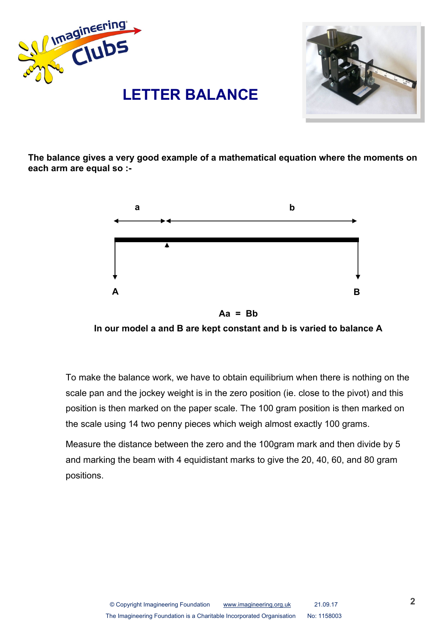



**The balance gives a very good example of a mathematical equation where the moments on each arm are equal so :-**



**Aa = Bb**



To make the balance work, we have to obtain equilibrium when there is nothing on the scale pan and the jockey weight is in the zero position (ie. close to the pivot) and this position is then marked on the paper scale. The 100 gram position is then marked on the scale using 14 two penny pieces which weigh almost exactly 100 grams.

Measure the distance between the zero and the 100gram mark and then divide by 5 and marking the beam with 4 equidistant marks to give the 20, 40, 60, and 80 gram positions.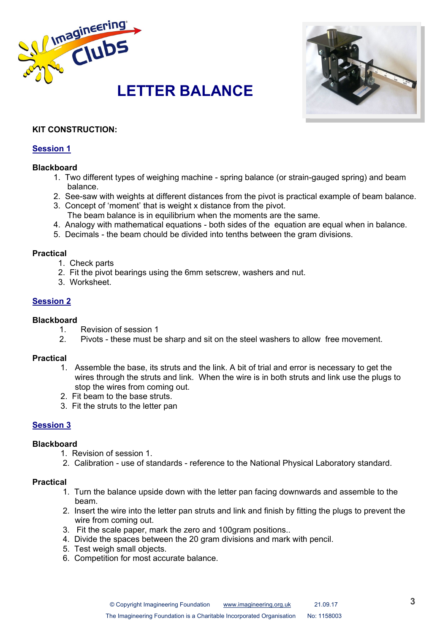



# **KIT CONSTRUCTION:**

# **Session 1**

#### **Blackboard**

- 1. Two different types of weighing machine spring balance (or strain-gauged spring) and beam balance.
- 2. See-saw with weights at different distances from the pivot is practical example of beam balance.
- 3. Concept of 'moment' that is weight x distance from the pivot.
	- The beam balance is in equilibrium when the moments are the same.
- 4. Analogy with mathematical equations both sides of the equation are equal when in balance.
- 5. Decimals the beam chould be divided into tenths between the gram divisions.

#### **Practical**

- 1. Check parts
- 2. Fit the pivot bearings using the 6mm setscrew, washers and nut.
- 3. Worksheet.

# **Session 2**

#### **Blackboard**

- 1. Revision of session 1
- 2. Pivots these must be sharp and sit on the steel washers to allow free movement.

### **Practical**

- 1. Assemble the base, its struts and the link. A bit of trial and error is necessary to get the wires through the struts and link. When the wire is in both struts and link use the plugs to stop the wires from coming out.
- 2. Fit beam to the base struts.
- 3. Fit the struts to the letter pan

# **Session 3**

# **Blackboard**

- 1. Revision of session 1.
- 2. Calibration use of standards reference to the National Physical Laboratory standard.

#### **Practical**

- 1. Turn the balance upside down with the letter pan facing downwards and assemble to the beam.
- 2. Insert the wire into the letter pan struts and link and finish by fitting the plugs to prevent the wire from coming out.
- 3. Fit the scale paper, mark the zero and 100gram positions..
- 4. Divide the spaces between the 20 gram divisions and mark with pencil.
- 5. Test weigh small objects.
- 6. Competition for most accurate balance.